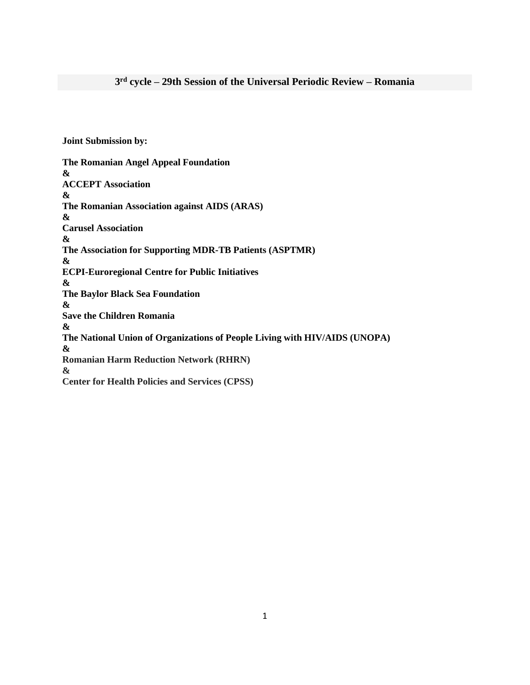**Joint Submission by:**

**The Romanian Angel Appeal Foundation & ACCEPT Association & The Romanian Association against AIDS (ARAS) & Carusel Association & The Association for Supporting MDR-TB Patients (ASPTMR) & ECPI-Euroregional Centre for Public Initiatives & The Baylor Black Sea Foundation & Save the Children Romania & The National Union of Organizations of People Living with HIV/AIDS (UNOPA) & Romanian Harm Reduction Network (RHRN) & Center for Health Policies and Services (CPSS)**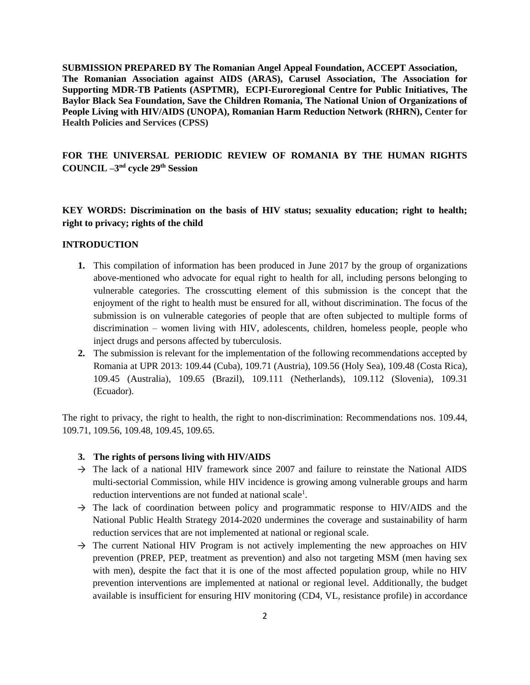**SUBMISSION PREPARED BY The Romanian Angel Appeal Foundation, ACCEPT Association, The Romanian Association against AIDS (ARAS), Carusel Association, The Association for Supporting MDR-TB Patients (ASPTMR), ECPI-Euroregional Centre for Public Initiatives, The Baylor Black Sea Foundation, Save the Children Romania, The National Union of Organizations of People Living with HIV/AIDS (UNOPA), Romanian Harm Reduction Network (RHRN), Center for Health Policies and Services (CPSS)**

# **FOR THE UNIVERSAL PERIODIC REVIEW OF ROMANIA BY THE HUMAN RIGHTS COUNCIL –3 nd cycle 29th Session**

# **KEY WORDS: Discrimination on the basis of HIV status; sexuality education; right to health; right to privacy; rights of the child**

## **INTRODUCTION**

- **1.** This compilation of information has been produced in June 2017 by the group of organizations above-mentioned who advocate for equal right to health for all, including persons belonging to vulnerable categories. The crosscutting element of this submission is the concept that the enjoyment of the right to health must be ensured for all, without discrimination. The focus of the submission is on vulnerable categories of people that are often subjected to multiple forms of discrimination – women living with HIV, adolescents, children, homeless people, people who inject drugs and persons affected by tuberculosis.
- **2.** The submission is relevant for the implementation of the following recommendations accepted by Romania at UPR 2013: 109.44 (Cuba), 109.71 (Austria), 109.56 (Holy Sea), 109.48 (Costa Rica), 109.45 (Australia), 109.65 (Brazil), 109.111 (Netherlands), 109.112 (Slovenia), 109.31 (Ecuador).

The right to privacy, the right to health, the right to non-discrimination: Recommendations nos. 109.44, 109.71, 109.56, 109.48, 109.45, 109.65.

- **3. The rights of persons living with HIV/AIDS**
- $\rightarrow$  The lack of a national HIV framework since 2007 and failure to reinstate the National AIDS multi-sectorial Commission, while HIV incidence is growing among vulnerable groups and harm reduction interventions are not funded at national scale<sup>1</sup>.
- $\rightarrow$  The lack of coordination between policy and programmatic response to HIV/AIDS and the National Public Health Strategy 2014-2020 undermines the coverage and sustainability of harm reduction services that are not implemented at national or regional scale.
- $\rightarrow$  The current National HIV Program is not actively implementing the new approaches on HIV prevention (PREP, PEP, treatment as prevention) and also not targeting MSM (men having sex with men), despite the fact that it is one of the most affected population group, while no HIV prevention interventions are implemented at national or regional level. Additionally, the budget available is insufficient for ensuring HIV monitoring (CD4, VL, resistance profile) in accordance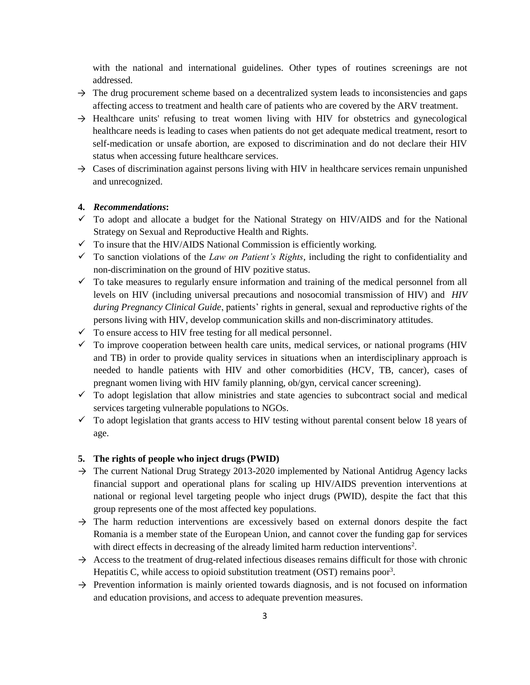with the national and international guidelines. Other types of routines screenings are not addressed.

- $\rightarrow$  The drug procurement scheme based on a decentralized system leads to inconsistencies and gaps affecting access to treatment and health care of patients who are covered by the ARV treatment.
- $\rightarrow$  Healthcare units' refusing to treat women living with HIV for obstetrics and gynecological healthcare needs is leading to cases when patients do not get adequate medical treatment, resort to self-medication or unsafe abortion, are exposed to discrimination and do not declare their HIV status when accessing future healthcare services.
- $\rightarrow$  Cases of discrimination against persons living with HIV in healthcare services remain unpunished and unrecognized.

## **4.** *Recommendations***:**

- $\checkmark$  To adopt and allocate a budget for the National Strategy on HIV/AIDS and for the National Strategy on Sexual and Reproductive Health and Rights.
- $\checkmark$  To insure that the HIV/AIDS National Commission is efficiently working.
- $\checkmark$  To sanction violations of the *Law on Patient's Rights*, including the right to confidentiality and non-discrimination on the ground of HIV pozitive status.
- $\checkmark$  To take measures to regularly ensure information and training of the medical personnel from all levels on HIV (including universal precautions and nosocomial transmission of HIV) and *HIV during Pregnancy Clinical Guide*, patients' rights in general, sexual and reproductive rights of the persons living with HIV, develop communication skills and non-discriminatory attitudes.
- $\checkmark$  To ensure access to HIV free testing for all medical personnel.
- $\checkmark$  To improve cooperation between health care units, medical services, or national programs (HIV and TB) in order to provide quality services in situations when an interdisciplinary approach is needed to handle patients with HIV and other comorbidities (HCV, TB, cancer), cases of pregnant women living with HIV family planning, ob/gyn, cervical cancer screening).
- $\checkmark$  To adopt legislation that allow ministries and state agencies to subcontract social and medical services targeting vulnerable populations to NGOs.
- $\checkmark$  To adopt legislation that grants access to HIV testing without parental consent below 18 years of age.

### **5. The rights of people who inject drugs (PWID)**

- → The current National Drug Strategy 2013-2020 implemented by National Antidrug Agency lacks financial support and operational plans for scaling up HIV/AIDS prevention interventions at national or regional level targeting people who inject drugs (PWID), despite the fact that this group represents one of the most affected key populations.
- $\rightarrow$  The harm reduction interventions are excessively based on external donors despite the fact Romania is a member state of the European Union, and cannot cover the funding gap for services with direct effects in decreasing of the already limited harm reduction interventions<sup>2</sup>.
- $\rightarrow$  Access to the treatment of drug-related infectious diseases remains difficult for those with chronic Hepatitis C, while access to opioid substitution treatment  $(OST)$  remains poor<sup>3</sup>.
- $\rightarrow$  Prevention information is mainly oriented towards diagnosis, and is not focused on information and education provisions, and access to adequate prevention measures.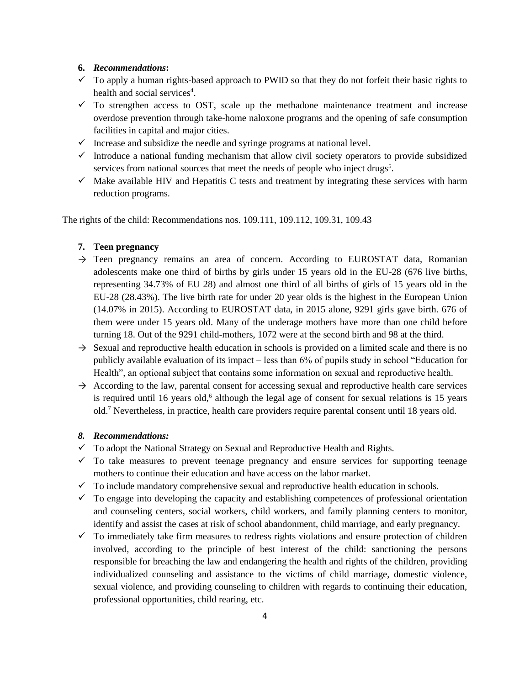## **6.** *Recommendations***:**

- $\checkmark$  To apply a human rights-based approach to PWID so that they do not forfeit their basic rights to health and social services<sup>4</sup>.
- $\checkmark$  To strengthen access to OST, scale up the methadone maintenance treatment and increase overdose prevention through take-home naloxone programs and the opening of safe consumption facilities in capital and major cities.
- $\checkmark$  Increase and subsidize the needle and syringe programs at national level.
- $\checkmark$  Introduce a national funding mechanism that allow civil society operators to provide subsidized services from national sources that meet the needs of people who inject drugs<sup>5</sup>.
- $\checkmark$  Make available HIV and Hepatitis C tests and treatment by integrating these services with harm reduction programs.

The rights of the child: Recommendations nos. 109.111, 109.112, 109.31, 109.43

## **7. Teen pregnancy**

- $\rightarrow$  Teen pregnancy remains an area of concern. According to EUROSTAT data, Romanian adolescents make one third of births by girls under 15 years old in the EU-28 (676 live births, representing 34.73% of EU 28) and almost one third of all births of girls of 15 years old in the EU-28 (28.43%). The live birth rate for under 20 year olds is the highest in the European Union (14.07% in 2015). According to EUROSTAT data, in 2015 alone, 9291 girls gave birth. 676 of them were under 15 years old. Many of the underage mothers have more than one child before turning 18. Out of the 9291 child-mothers, 1072 were at the second birth and 98 at the third.
- $\rightarrow$  Sexual and reproductive health education in schools is provided on a limited scale and there is no publicly available evaluation of its impact – less than 6% of pupils study in school "Education for Health", an optional subject that contains some information on sexual and reproductive health.
- $\rightarrow$  According to the law, parental consent for accessing sexual and reproductive health care services is required until 16 years old,<sup>6</sup> although the legal age of consent for sexual relations is 15 years old.<sup>7</sup> Nevertheless, in practice, health care providers require parental consent until 18 years old.

## *8. Recommendations:*

- $\checkmark$  To adopt the National Strategy on Sexual and Reproductive Health and Rights.
- $\checkmark$  To take measures to prevent teenage pregnancy and ensure services for supporting teenage mothers to continue their education and have access on the labor market.
- $\checkmark$  To include mandatory comprehensive sexual and reproductive health education in schools.
- $\checkmark$  To engage into developing the capacity and establishing competences of professional orientation and counseling centers, social workers, child workers, and family planning centers to monitor, identify and assist the cases at risk of school abandonment, child marriage, and early pregnancy.
- $\checkmark$  To immediately take firm measures to redress rights violations and ensure protection of children involved, according to the principle of best interest of the child: sanctioning the persons responsible for breaching the law and endangering the health and rights of the children, providing individualized counseling and assistance to the victims of child marriage, domestic violence, sexual violence, and providing counseling to children with regards to continuing their education, professional opportunities, child rearing, etc.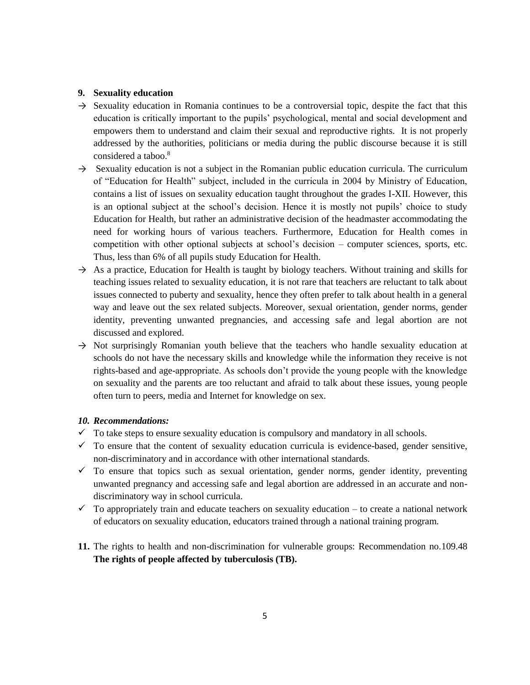## **9. Sexuality education**

- $\rightarrow$  Sexuality education in Romania continues to be a controversial topic, despite the fact that this education is critically important to the pupils' psychological, mental and social development and empowers them to understand and claim their sexual and reproductive rights. It is not properly addressed by the authorities, politicians or media during the public discourse because it is still considered a taboo.<sup>8</sup>
- $\rightarrow$  Sexuality education is not a subject in the Romanian public education curricula. The curriculum of "Education for Health" subject, included in the curricula in 2004 by Ministry of Education, contains a list of issues on sexuality education taught throughout the grades I-XII. However, this is an optional subject at the school's decision. Hence it is mostly not pupils' choice to study Education for Health, but rather an administrative decision of the headmaster accommodating the need for working hours of various teachers. Furthermore, Education for Health comes in competition with other optional subjects at school's decision – computer sciences, sports, etc. Thus, less than 6% of all pupils study Education for Health.
- $\rightarrow$  As a practice, Education for Health is taught by biology teachers. Without training and skills for teaching issues related to sexuality education, it is not rare that teachers are reluctant to talk about issues connected to puberty and sexuality, hence they often prefer to talk about health in a general way and leave out the sex related subjects. Moreover, sexual orientation, gender norms, gender identity, preventing unwanted pregnancies, and accessing safe and legal abortion are not discussed and explored.
- $\rightarrow$  Not surprisingly Romanian youth believe that the teachers who handle sexuality education at schools do not have the necessary skills and knowledge while the information they receive is not rights-based and age-appropriate. As schools don't provide the young people with the knowledge on sexuality and the parents are too reluctant and afraid to talk about these issues, young people often turn to peers, media and Internet for knowledge on sex.

# *10. Recommendations:*

- $\checkmark$  To take steps to ensure sexuality education is compulsory and mandatory in all schools.
- $\checkmark$  To ensure that the content of sexuality education curricula is evidence-based, gender sensitive, non-discriminatory and in accordance with other international standards.
- $\checkmark$  To ensure that topics such as sexual orientation, gender norms, gender identity, preventing unwanted pregnancy and accessing safe and legal abortion are addressed in an accurate and nondiscriminatory way in school curricula.
- $\checkmark$  To appropriately train and educate teachers on sexuality education to create a national network of educators on sexuality education, educators trained through a national training program.
- **11.** The rights to health and non-discrimination for vulnerable groups: Recommendation no.109.48 **The rights of people affected by tuberculosis (TB).**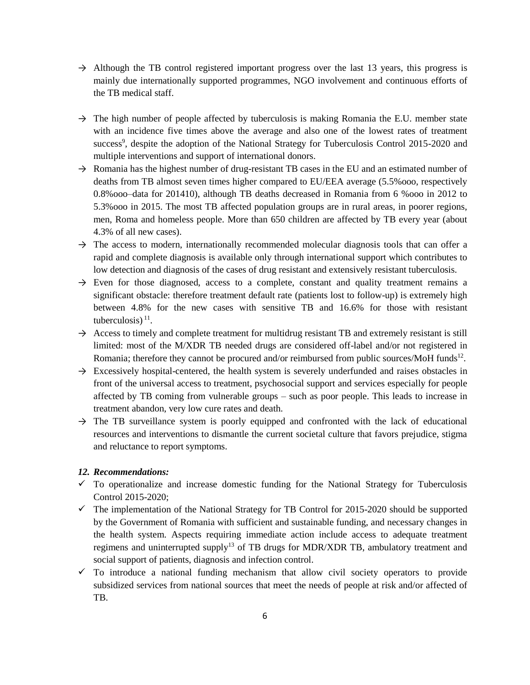- $\rightarrow$  Although the TB control registered important progress over the last 13 years, this progress is mainly due internationally supported programmes, NGO involvement and continuous efforts of the TB medical staff.
- $\rightarrow$  The high number of people affected by tuberculosis is making Romania the E.U. member state with an incidence five times above the average and also one of the lowest rates of treatment success<sup>9</sup>, despite the adoption of the National Strategy for Tuberculosis Control 2015-2020 and multiple interventions and support of international donors.
- $\rightarrow$  Romania has the highest number of drug-resistant TB cases in the EU and an estimated number of deaths from TB almost seven times higher compared to EU/EEA average (5.5%ooo, respectively 0.8%ooo–data for 201410), although TB deaths decreased in Romania from 6 %ooo in 2012 to 5.3%ooo in 2015. The most TB affected population groups are in rural areas, in poorer regions, men, Roma and homeless people. More than 650 children are affected by TB every year (about 4.3% of all new cases).
- $\rightarrow$  The access to modern, internationally recommended molecular diagnosis tools that can offer a rapid and complete diagnosis is available only through international support which contributes to low detection and diagnosis of the cases of drug resistant and extensively resistant tuberculosis.
- $\rightarrow$  Even for those diagnosed, access to a complete, constant and quality treatment remains a significant obstacle: therefore treatment default rate (patients lost to follow-up) is extremely high between 4.8% for the new cases with sensitive TB and 16.6% for those with resistant tuberculosis) $<sup>11</sup>$ .</sup>
- $\rightarrow$  Access to timely and complete treatment for multidrug resistant TB and extremely resistant is still limited: most of the M/XDR TB needed drugs are considered off-label and/or not registered in Romania; therefore they cannot be procured and/or reimbursed from public sources/MoH funds<sup>12</sup>.
- $\rightarrow$  Excessively hospital-centered, the health system is severely underfunded and raises obstacles in front of the universal access to treatment, psychosocial support and services especially for people affected by TB coming from vulnerable groups – such as poor people. This leads to increase in treatment abandon, very low cure rates and death.
- $\rightarrow$  The TB surveillance system is poorly equipped and confronted with the lack of educational resources and interventions to dismantle the current societal culture that favors prejudice, stigma and reluctance to report symptoms.

### *12. Recommendations:*

- $\checkmark$  To operationalize and increase domestic funding for the National Strategy for Tuberculosis Control 2015-2020;
- $\checkmark$  The implementation of the National Strategy for TB Control for 2015-2020 should be supported by the Government of Romania with sufficient and sustainable funding, and necessary changes in the health system. Aspects requiring immediate action include access to adequate treatment regimens and uninterrupted supply<sup>13</sup> of TB drugs for MDR/XDR TB, ambulatory treatment and social support of patients, diagnosis and infection control.
- $\checkmark$  To introduce a national funding mechanism that allow civil society operators to provide subsidized services from national sources that meet the needs of people at risk and/or affected of TB.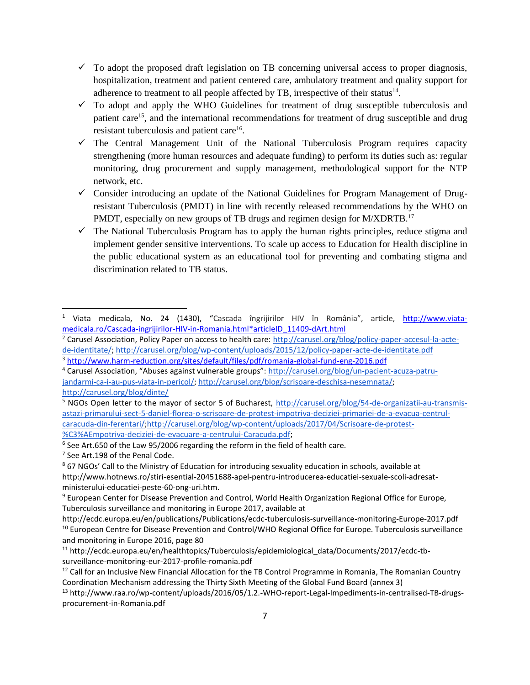- $\checkmark$  To adopt the proposed draft legislation on TB concerning universal access to proper diagnosis, hospitalization, treatment and patient centered care, ambulatory treatment and quality support for adherence to treatment to all people affected by TB, irrespective of their status $^{14}$ .
- $\checkmark$  To adopt and apply the WHO Guidelines for treatment of drug susceptible tuberculosis and patient care<sup>15</sup>, and the international recommendations for treatment of drug susceptible and drug resistant tuberculosis and patient care<sup>16</sup>.
- $\checkmark$  The Central Management Unit of the National Tuberculosis Program requires capacity strengthening (more human resources and adequate funding) to perform its duties such as: regular monitoring, drug procurement and supply management, methodological support for the NTP network, etc.
- $\checkmark$  Consider introducing an update of the National Guidelines for Program Management of Drugresistant Tuberculosis (PMDT) in line with recently released recommendations by the WHO on PMDT, especially on new groups of TB drugs and regimen design for M/XDRTB.<sup>17</sup>
- $\checkmark$  The National Tuberculosis Program has to apply the human rights principles, reduce stigma and implement gender sensitive interventions. To scale up access to Education for Health discipline in the public educational system as an educational tool for preventing and combating stigma and discrimination related to TB status.

- <sup>2</sup> Carusel Association, Policy Paper on access to health care: [http://carusel.org/blog/policy-paper-accesul-la-acte](http://carusel.org/blog/policy-paper-accesul-la-acte-de-identitate/)[de-identitate/;](http://carusel.org/blog/policy-paper-accesul-la-acte-de-identitate/)<http://carusel.org/blog/wp-content/uploads/2015/12/policy-paper-acte-de-identitate.pdf> <sup>3</sup> <http://www.harm-reduction.org/sites/default/files/pdf/romania-global-fund-eng-2016.pdf>
- <sup>4</sup> Carusel Association, "Abuses against vulnerable groups": [http://carusel.org/blog/un-pacient-acuza-patru](http://carusel.org/blog/un-pacient-acuza-patru-jandarmi-ca-i-au-pus-viata-in-pericol/)[jandarmi-ca-i-au-pus-viata-in-pericol/;](http://carusel.org/blog/un-pacient-acuza-patru-jandarmi-ca-i-au-pus-viata-in-pericol/) [http://carusel.org/blog/scrisoare-deschisa-nesemnata/;](http://carusel.org/blog/scrisoare-deschisa-nesemnata/) <http://carusel.org/blog/dinte/>

l

<sup>&</sup>lt;sup>1</sup> Viata medicala, No. 24 (1430), "Cascada îngrijirilor HIV în România", article, [http://www.viata](http://www.viata-medicala.ro/Cascada-ingrijirilor-HIV-in-Romania.html*articleID_11409-dArt.html)[medicala.ro/Cascada-ingrijirilor-HIV-in-Romania.html\\*articleID\\_11409-dArt.html](http://www.viata-medicala.ro/Cascada-ingrijirilor-HIV-in-Romania.html*articleID_11409-dArt.html)

<sup>&</sup>lt;sup>5</sup> NGOs Open letter to the mayor of sector 5 of Bucharest, [http://carusel.org/blog/54-de-organizatii-au-transmis](http://carusel.org/blog/54-de-organizatii-au-transmis-astazi-primarului-sect-5-daniel-florea-o-scrisoare-de-protest-impotriva-deciziei-primariei-de-a-evacua-centrul-caracuda-din-ferentari/)[astazi-primarului-sect-5-daniel-florea-o-scrisoare-de-protest-impotriva-deciziei-primariei-de-a-evacua-centrul](http://carusel.org/blog/54-de-organizatii-au-transmis-astazi-primarului-sect-5-daniel-florea-o-scrisoare-de-protest-impotriva-deciziei-primariei-de-a-evacua-centrul-caracuda-din-ferentari/)[caracuda-din-ferentari/;](http://carusel.org/blog/54-de-organizatii-au-transmis-astazi-primarului-sect-5-daniel-florea-o-scrisoare-de-protest-impotriva-deciziei-primariei-de-a-evacua-centrul-caracuda-din-ferentari/)[http://carusel.org/blog/wp-content/uploads/2017/04/Scrisoare-de-protest-](http://carusel.org/blog/wp-content/uploads/2017/04/Scrisoare-de-protest-%C3%AEmpotriva-deciziei-de-evacuare-a-centrului-Caracuda.pdf) [%C3%AEmpotriva-deciziei-de-evacuare-a-centrului-Caracuda.pdf;](http://carusel.org/blog/wp-content/uploads/2017/04/Scrisoare-de-protest-%C3%AEmpotriva-deciziei-de-evacuare-a-centrului-Caracuda.pdf)

 $6$  See Art.650 of the Law 95/2006 regarding the reform in the field of health care.

<sup>&</sup>lt;sup>7</sup> See Art.198 of the Penal Code.

<sup>8</sup> 67 NGOs' Call to the Ministry of Education for introducing sexuality education in schools, available at http://www.hotnews.ro/stiri-esential-20451688-apel-pentru-introducerea-educatiei-sexuale-scoli-adresatministerului-educatiei-peste-60-ong-uri.htm.

<sup>9</sup> European Center for Disease Prevention and Control, World Health Organization Regional Office for Europe, Tuberculosis surveillance and monitoring in Europe 2017, available at

http://ecdc.europa.eu/en/publications/Publications/ecdc-tuberculosis-surveillance-monitoring-Europe-2017.pdf <sup>10</sup> European Centre for Disease Prevention and Control/WHO Regional Office for Europe. Tuberculosis surveillance and monitoring in Europe 2016, page 80

<sup>11</sup> http://ecdc.europa.eu/en/healthtopics/Tuberculosis/epidemiological\_data/Documents/2017/ecdc-tbsurveillance-monitoring-eur-2017-profile-romania.pdf

<sup>&</sup>lt;sup>12</sup> Call for an Inclusive New Financial Allocation for the TB Control Programme in Romania, The Romanian Country Coordination Mechanism addressing the Thirty Sixth Meeting of the Global Fund Board (annex 3)

<sup>13</sup> http://www.raa.ro/wp-content/uploads/2016/05/1.2.-WHO-report-Legal-Impediments-in-centralised-TB-drugsprocurement-in-Romania.pdf